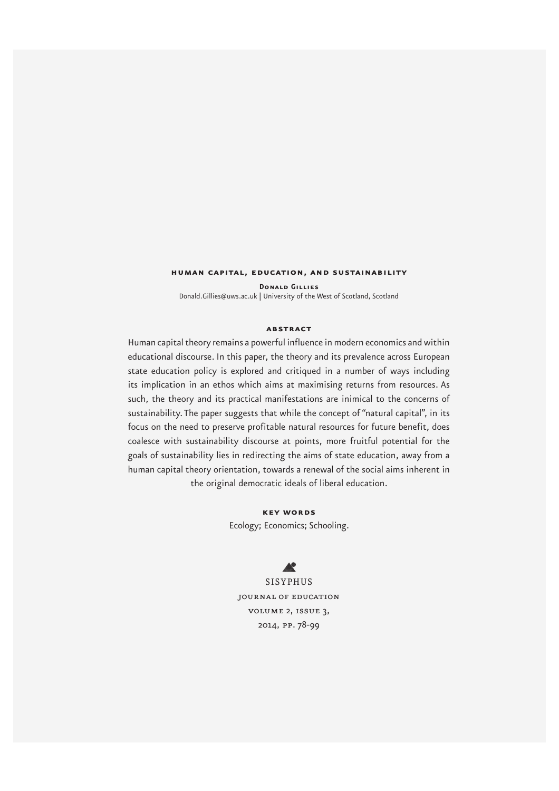#### **human capital, education, and sustainability**

**Donald Gillies**  Donald.Gillies@uws.ac.uk | University of the West of Scotland, Scotland

#### **abstract**

Human capital theory remains a powerful influence in modern economics and within educational discourse. In this paper, the theory and its prevalence across European state education policy is explored and critiqued in a number of ways including its implication in an ethos which aims at maximising returns from resources. As such, the theory and its practical manifestations are inimical to the concerns of sustainability. The paper suggests that while the concept of "natural capital", in its focus on the need to preserve profitable natural resources for future benefit, does coalesce with sustainability discourse at points, more fruitful potential for the goals of sustainability lies in redirecting the aims of state education, away from a human capital theory orientation, towards a renewal of the social aims inherent in the original democratic ideals of liberal education.

> **key words** Ecology; Economics; Schooling.

# $\blacktriangle$

SISYPHUS journal of education volume 2, issue 3, 2014, pp. 78-99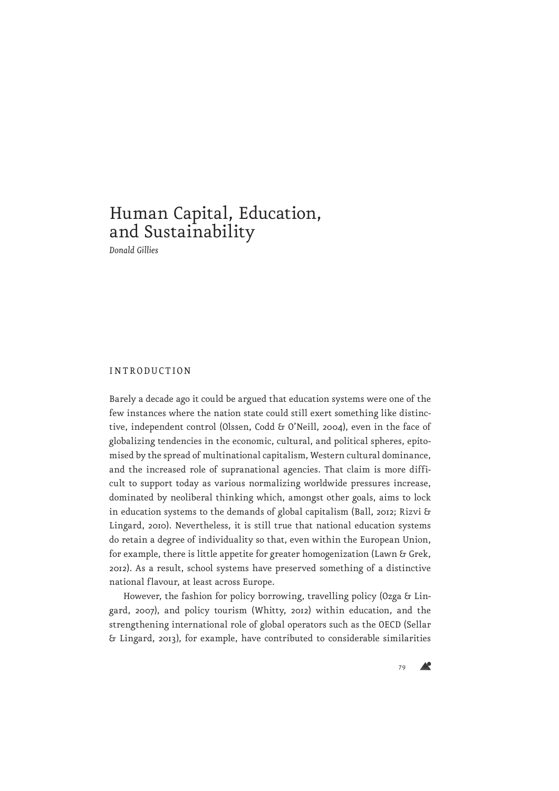# Human Capital, Education, and Sustainability

*Donald Gillies*

## INTRODUCTION

Barely a decade ago it could be argued that education systems were one of the few instances where the nation state could still exert something like distinctive, independent control (Olssen, Codd & O'Neill, 2004), even in the face of globalizing tendencies in the economic, cultural, and political spheres, epitomised by the spread of multinational capitalism, Western cultural dominance, and the increased role of supranational agencies. That claim is more difficult to support today as various normalizing worldwide pressures increase, dominated by neoliberal thinking which, amongst other goals, aims to lock in education systems to the demands of global capitalism (Ball, 2012; Rizvi & Lingard, 2010). Nevertheless, it is still true that national education systems do retain a degree of individuality so that, even within the European Union, for example, there is little appetite for greater homogenization (Lawn & Grek, 2012). As a result, school systems have preserved something of a distinctive national flavour, at least across Europe.

However, the fashion for policy borrowing, travelling policy (Ozga & Lingard, 2007), and policy tourism (Whitty, 2012) within education, and the strengthening international role of global operators such as the OECD (Sellar & Lingard, 2013), for example, have contributed to considerable similarities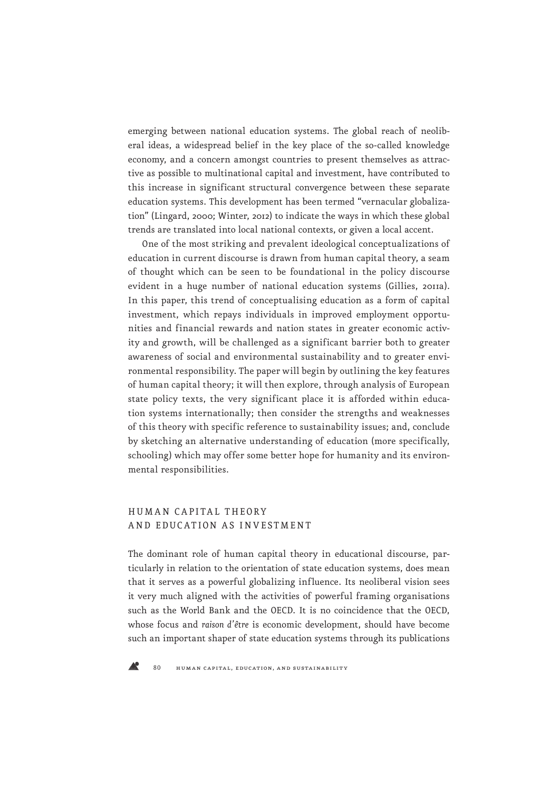emerging between national education systems. The global reach of neoliberal ideas, a widespread belief in the key place of the so-called knowledge economy, and a concern amongst countries to present themselves as attractive as possible to multinational capital and investment, have contributed to this increase in significant structural convergence between these separate education systems. This development has been termed "vernacular globalization" (Lingard, 2000; Winter, 2012) to indicate the ways in which these global trends are translated into local national contexts, or given a local accent.

One of the most striking and prevalent ideological conceptualizations of education in current discourse is drawn from human capital theory, a seam of thought which can be seen to be foundational in the policy discourse evident in a huge number of national education systems (Gillies, 2011a). In this paper, this trend of conceptualising education as a form of capital investment, which repays individuals in improved employment opportunities and financial rewards and nation states in greater economic activity and growth, will be challenged as a significant barrier both to greater awareness of social and environmental sustainability and to greater environmental responsibility. The paper will begin by outlining the key features of human capital theory; it will then explore, through analysis of European state policy texts, the very significant place it is afforded within education systems internationally; then consider the strengths and weaknesses of this theory with specific reference to sustainability issues; and, conclude by sketching an alternative understanding of education (more specifically, schooling) which may offer some better hope for humanity and its environmental responsibilities.

# HUM A N C A PITA L THEORY AND EDUCATION AS INVESTMENT

The dominant role of human capital theory in educational discourse, particularly in relation to the orientation of state education systems, does mean that it serves as a powerful globalizing influence. Its neoliberal vision sees it very much aligned with the activities of powerful framing organisations such as the World Bank and the OECD. It is no coincidence that the OECD, whose focus and *raison d'être* is economic development, should have become such an important shaper of state education systems through its publications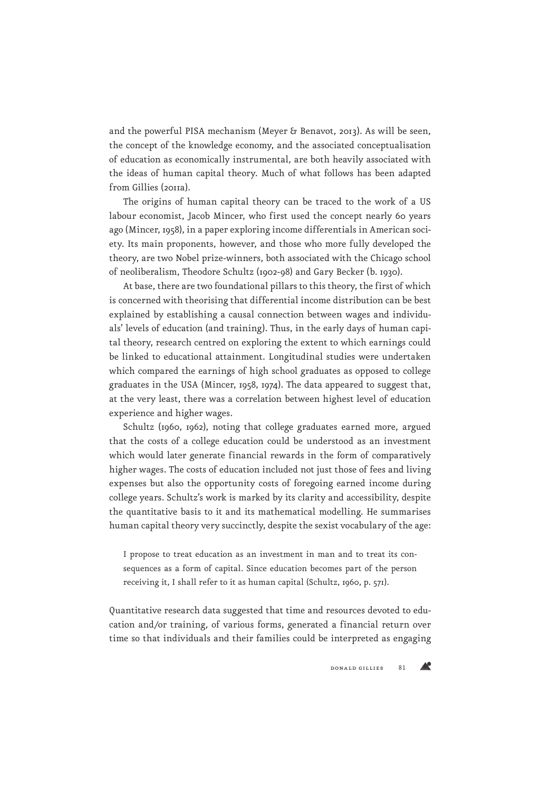and the powerful PISA mechanism (Meyer & Benavot, 2013). As will be seen, the concept of the knowledge economy, and the associated conceptualisation of education as economically instrumental, are both heavily associated with the ideas of human capital theory. Much of what follows has been adapted from Gillies (2011a).

The origins of human capital theory can be traced to the work of a US labour economist, Jacob Mincer, who first used the concept nearly 60 years ago (Mincer, 1958), in a paper exploring income differentials in American society. Its main proponents, however, and those who more fully developed the theory, are two Nobel prize-winners, both associated with the Chicago school of neoliberalism, Theodore Schultz (1902-98) and Gary Becker (b. 1930).

At base, there are two foundational pillars to this theory, the first of which is concerned with theorising that differential income distribution can be best explained by establishing a causal connection between wages and individuals' levels of education (and training). Thus, in the early days of human capital theory, research centred on exploring the extent to which earnings could be linked to educational attainment. Longitudinal studies were undertaken which compared the earnings of high school graduates as opposed to college graduates in the USA (Mincer, 1958, 1974). The data appeared to suggest that, at the very least, there was a correlation between highest level of education experience and higher wages.

Schultz (1960, 1962), noting that college graduates earned more, argued that the costs of a college education could be understood as an investment which would later generate financial rewards in the form of comparatively higher wages. The costs of education included not just those of fees and living expenses but also the opportunity costs of foregoing earned income during college years. Schultz's work is marked by its clarity and accessibility, despite the quantitative basis to it and its mathematical modelling. He summarises human capital theory very succinctly, despite the sexist vocabulary of the age:

I propose to treat education as an investment in man and to treat its consequences as a form of capital. Since education becomes part of the person receiving it, I shall refer to it as human capital (Schultz, 1960, p. 571).

Quantitative research data suggested that time and resources devoted to education and/or training, of various forms, generated a financial return over time so that individuals and their families could be interpreted as engaging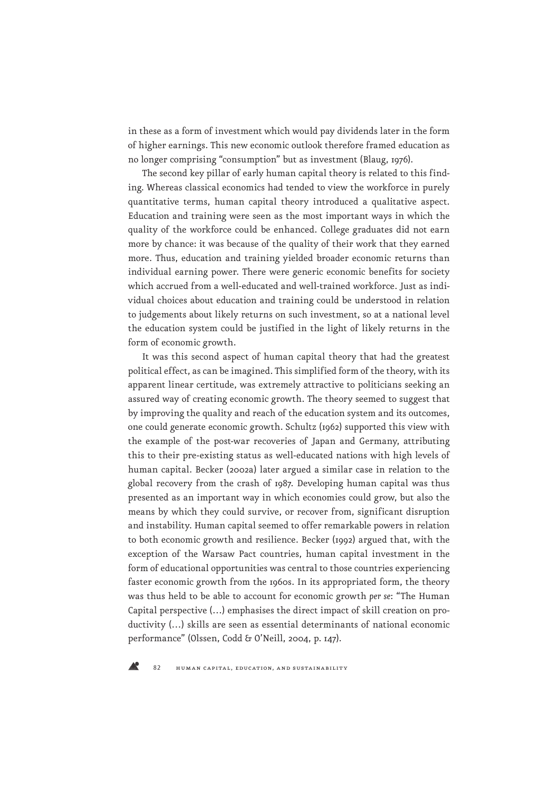in these as a form of investment which would pay dividends later in the form of higher earnings. This new economic outlook therefore framed education as no longer comprising "consumption" but as investment (Blaug, 1976).

The second key pillar of early human capital theory is related to this finding. Whereas classical economics had tended to view the workforce in purely quantitative terms, human capital theory introduced a qualitative aspect. Education and training were seen as the most important ways in which the quality of the workforce could be enhanced. College graduates did not earn more by chance: it was because of the quality of their work that they earned more. Thus, education and training yielded broader economic returns than individual earning power. There were generic economic benefits for society which accrued from a well-educated and well-trained workforce. Just as individual choices about education and training could be understood in relation to judgements about likely returns on such investment, so at a national level the education system could be justified in the light of likely returns in the form of economic growth.

It was this second aspect of human capital theory that had the greatest political effect, as can be imagined. This simplified form of the theory, with its apparent linear certitude, was extremely attractive to politicians seeking an assured way of creating economic growth. The theory seemed to suggest that by improving the quality and reach of the education system and its outcomes, one could generate economic growth. Schultz (1962) supported this view with the example of the post-war recoveries of Japan and Germany, attributing this to their pre-existing status as well-educated nations with high levels of human capital. Becker (2002a) later argued a similar case in relation to the global recovery from the crash of 1987. Developing human capital was thus presented as an important way in which economies could grow, but also the means by which they could survive, or recover from, significant disruption and instability. Human capital seemed to offer remarkable powers in relation to both economic growth and resilience. Becker (1992) argued that, with the exception of the Warsaw Pact countries, human capital investment in the form of educational opportunities was central to those countries experiencing faster economic growth from the 1960s. In its appropriated form, the theory was thus held to be able to account for economic growth *per se*: "The Human Capital perspective (…) emphasises the direct impact of skill creation on productivity (…) skills are seen as essential determinants of national economic performance" (Olssen, Codd & O'Neill, 2004, p. 147).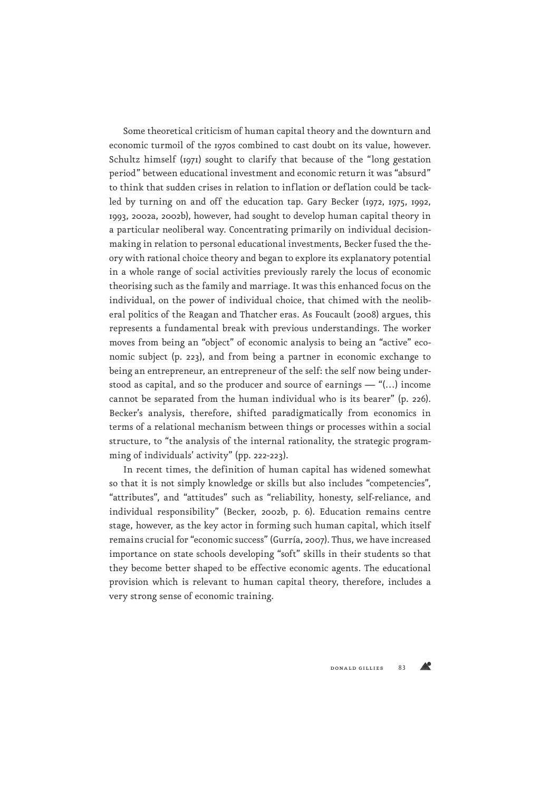Some theoretical criticism of human capital theory and the downturn and economic turmoil of the 1970s combined to cast doubt on its value, however. Schultz himself (1971) sought to clarify that because of the "long gestation period" between educational investment and economic return it was "absurd" to think that sudden crises in relation to inflation or deflation could be tackled by turning on and off the education tap. Gary Becker (1972, 1975, 1992, 1993, 2002a, 2002b), however, had sought to develop human capital theory in a particular neoliberal way. Concentrating primarily on individual decisionmaking in relation to personal educational investments, Becker fused the theory with rational choice theory and began to explore its explanatory potential in a whole range of social activities previously rarely the locus of economic theorising such as the family and marriage. It was this enhanced focus on the individual, on the power of individual choice, that chimed with the neoliberal politics of the Reagan and Thatcher eras. As Foucault (2008) argues, this represents a fundamental break with previous understandings. The worker moves from being an "object" of economic analysis to being an "active" economic subject (p. 223), and from being a partner in economic exchange to being an entrepreneur, an entrepreneur of the self: the self now being understood as capital, and so the producer and source of earnings — "(…) income cannot be separated from the human individual who is its bearer" (p. 226). Becker's analysis, therefore, shifted paradigmatically from economics in terms of a relational mechanism between things or processes within a social structure, to "the analysis of the internal rationality, the strategic programming of individuals' activity" (pp. 222-223).

In recent times, the definition of human capital has widened somewhat so that it is not simply knowledge or skills but also includes "competencies", "attributes", and "attitudes" such as "reliability, honesty, self-reliance, and individual responsibility" (Becker, 2002b, p. 6). Education remains centre stage, however, as the key actor in forming such human capital, which itself remains crucial for "economic success" (Gurría, 2007). Thus, we have increased importance on state schools developing "soft" skills in their students so that they become better shaped to be effective economic agents. The educational provision which is relevant to human capital theory, therefore, includes a very strong sense of economic training.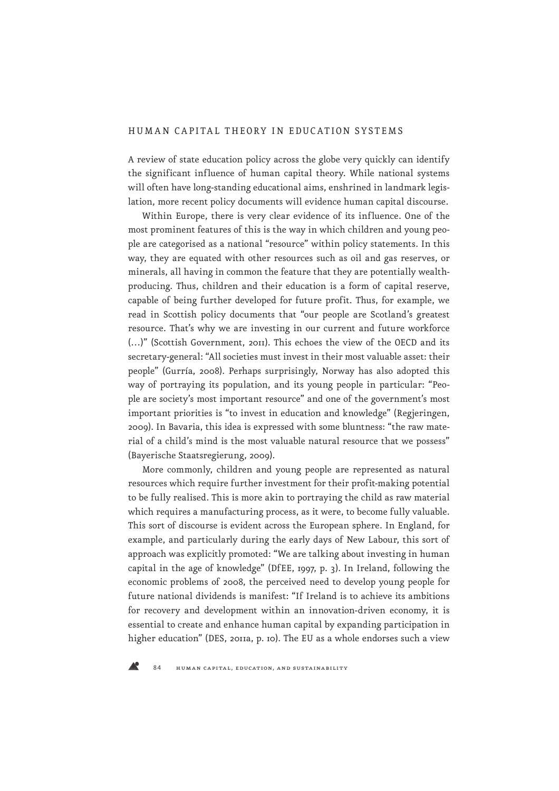# HUMAN CAPITAL THEORY IN EDUCATION SYSTEMS

A review of state education policy across the globe very quickly can identify the significant influence of human capital theory. While national systems will often have long-standing educational aims, enshrined in landmark legislation, more recent policy documents will evidence human capital discourse.

Within Europe, there is very clear evidence of its influence. One of the most prominent features of this is the way in which children and young people are categorised as a national "resource" within policy statements. In this way, they are equated with other resources such as oil and gas reserves, or minerals, all having in common the feature that they are potentially wealthproducing. Thus, children and their education is a form of capital reserve, capable of being further developed for future profit. Thus, for example, we read in Scottish policy documents that "our people are Scotland's greatest resource. That's why we are investing in our current and future workforce (…)" (Scottish Government, 2011). This echoes the view of the OECD and its secretary-general: "All societies must invest in their most valuable asset: their people" (Gurría, 2008). Perhaps surprisingly, Norway has also adopted this way of portraying its population, and its young people in particular: "People are society's most important resource" and one of the government's most important priorities is "to invest in education and knowledge" (Regjeringen, 2009). In Bavaria, this idea is expressed with some bluntness: "the raw material of a child's mind is the most valuable natural resource that we possess" (Bayerische Staatsregierung, 2009).

More commonly, children and young people are represented as natural resources which require further investment for their profit-making potential to be fully realised. This is more akin to portraying the child as raw material which requires a manufacturing process, as it were, to become fully valuable. This sort of discourse is evident across the European sphere. In England, for example, and particularly during the early days of New Labour, this sort of approach was explicitly promoted: "We are talking about investing in human capital in the age of knowledge" (DfEE, 1997, p. 3). In Ireland, following the economic problems of 2008, the perceived need to develop young people for future national dividends is manifest: "If Ireland is to achieve its ambitions for recovery and development within an innovation-driven economy, it is essential to create and enhance human capital by expanding participation in higher education" (DES, 2011a, p. 10). The EU as a whole endorses such a view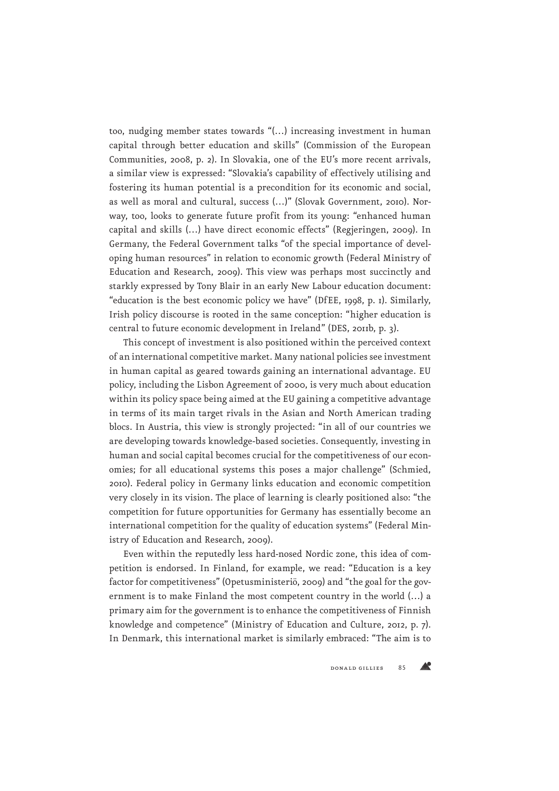too, nudging member states towards "(…) increasing investment in human capital through better education and skills" (Commission of the European Communities, 2008, p. 2). In Slovakia, one of the EU's more recent arrivals, a similar view is expressed: "Slovakia's capability of effectively utilising and fostering its human potential is a precondition for its economic and social, as well as moral and cultural, success (…)" (Slovak Government, 2010). Norway, too, looks to generate future profit from its young: "enhanced human capital and skills (…) have direct economic effects" (Regjeringen, 2009). In Germany, the Federal Government talks "of the special importance of developing human resources" in relation to economic growth (Federal Ministry of Education and Research, 2009). This view was perhaps most succinctly and starkly expressed by Tony Blair in an early New Labour education document: "education is the best economic policy we have" (DfEE, 1998, p. 1). Similarly, Irish policy discourse is rooted in the same conception: "higher education is central to future economic development in Ireland" (DES, 2011b, p. 3).

This concept of investment is also positioned within the perceived context of an international competitive market. Many national policies see investment in human capital as geared towards gaining an international advantage. EU policy, including the Lisbon Agreement of 2000, is very much about education within its policy space being aimed at the EU gaining a competitive advantage in terms of its main target rivals in the Asian and North American trading blocs. In Austria, this view is strongly projected: "in all of our countries we are developing towards knowledge-based societies. Consequently, investing in human and social capital becomes crucial for the competitiveness of our economies; for all educational systems this poses a major challenge" (Schmied, 2010). Federal policy in Germany links education and economic competition very closely in its vision. The place of learning is clearly positioned also: "the competition for future opportunities for Germany has essentially become an international competition for the quality of education systems" (Federal Ministry of Education and Research, 2009).

Even within the reputedly less hard-nosed Nordic zone, this idea of competition is endorsed. In Finland, for example, we read: "Education is a key factor for competitiveness" (Opetusministeriö, 2009) and "the goal for the government is to make Finland the most competent country in the world (…) a primary aim for the government is to enhance the competitiveness of Finnish knowledge and competence" (Ministry of Education and Culture, 2012, p. 7). In Denmark, this international market is similarly embraced: "The aim is to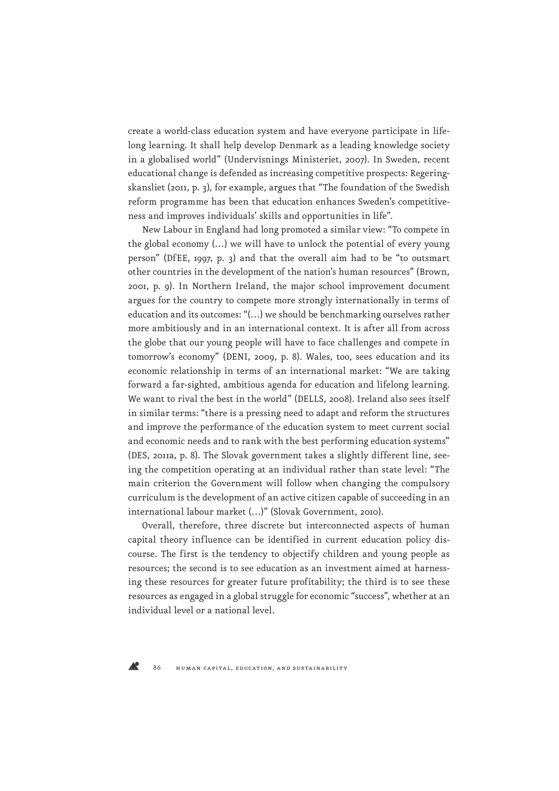create a world-class education system and have everyone participate in lifelong learning. It shall help develop Denmark as a leading knowledge society in a globalised world" (Undervisnings Ministeriet, 2007). In Sweden, recent educational change is defended as increasing competitive prospects: Regeringskansliet (2011, p. 3), for example, argues that "The foundation of the Swedish reform programme has been that education enhances Sweden's competitiveness and improves individuals' skills and opportunities in life".

New Labour in England had long promoted a similar view: "To compete in the global economy (…) we will have to unlock the potential of every young person" (DfEE, 1997, p. 3) and that the overall aim had to be "to outsmart other countries in the development of the nation's human resources" (Brown, 2001, p. 9). In Northern Ireland, the major school improvement document argues for the country to compete more strongly internationally in terms of education and its outcomes: "(…) we should be benchmarking ourselves rather more ambitiously and in an international context. It is after all from across the globe that our young people will have to face challenges and compete in tomorrow's economy" (DENI, 2009, p. 8). Wales, too, sees education and its economic relationship in terms of an international market: "We are taking forward a far-sighted, ambitious agenda for education and lifelong learning. We want to rival the best in the world" (DELLS, 2008). Ireland also sees itself in similar terms: "there is a pressing need to adapt and reform the structures and improve the performance of the education system to meet current social and economic needs and to rank with the best performing education systems" (DES, 2011a, p. 8). The Slovak government takes a slightly different line, seeing the competition operating at an individual rather than state level: "The main criterion the Government will follow when changing the compulsory curriculum is the development of an active citizen capable of succeeding in an international labour market (…)" (Slovak Government, 2010).

Overall, therefore, three discrete but interconnected aspects of human capital theory influence can be identified in current education policy discourse. The first is the tendency to objectify children and young people as resources; the second is to see education as an investment aimed at harnessing these resources for greater future profitability; the third is to see these resources as engaged in a global struggle for economic "success", whether at an individual level or a national level.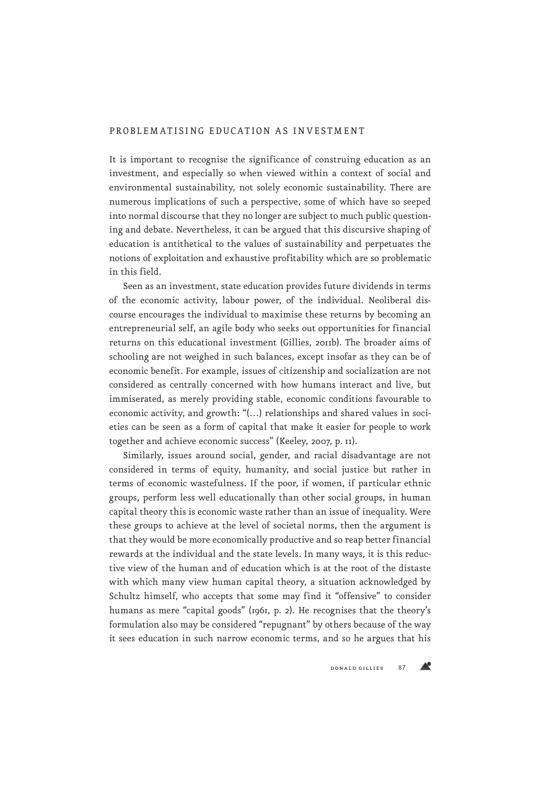# PROBLEMATISING EDUCATION AS INVESTMENT

It is important to recognise the significance of construing education as an investment, and especially so when viewed within a context of social and environmental sustainability, not solely economic sustainability. There are numerous implications of such a perspective, some of which have so seeped into normal discourse that they no longer are subject to much public questioning and debate. Nevertheless, it can be argued that this discursive shaping of education is antithetical to the values of sustainability and perpetuates the notions of exploitation and exhaustive profitability which are so problematic in this field.

Seen as an investment, state education provides future dividends in terms of the economic activity, labour power, of the individual. Neoliberal discourse encourages the individual to maximise these returns by becoming an entrepreneurial self, an agile body who seeks out opportunities for financial returns on this educational investment (Gillies, 2011b). The broader aims of schooling are not weighed in such balances, except insofar as they can be of economic benefit. For example, issues of citizenship and socialization are not considered as centrally concerned with how humans interact and live, but immiserated, as merely providing stable, economic conditions favourable to economic activity, and growth: "(…) relationships and shared values in societies can be seen as a form of capital that make it easier for people to work together and achieve economic success" (Keeley, 2007, p. 11).

Similarly, issues around social, gender, and racial disadvantage are not considered in terms of equity, humanity, and social justice but rather in terms of economic wastefulness. If the poor, if women, if particular ethnic groups, perform less well educationally than other social groups, in human capital theory this is economic waste rather than an issue of inequality. Were these groups to achieve at the level of societal norms, then the argument is that they would be more economically productive and so reap better financial rewards at the individual and the state levels. In many ways, it is this reductive view of the human and of education which is at the root of the distaste with which many view human capital theory, a situation acknowledged by Schultz himself, who accepts that some may find it "offensive" to consider humans as mere "capital goods" (1961, p. 2). He recognises that the theory's formulation also may be considered "repugnant" by others because of the way it sees education in such narrow economic terms, and so he argues that his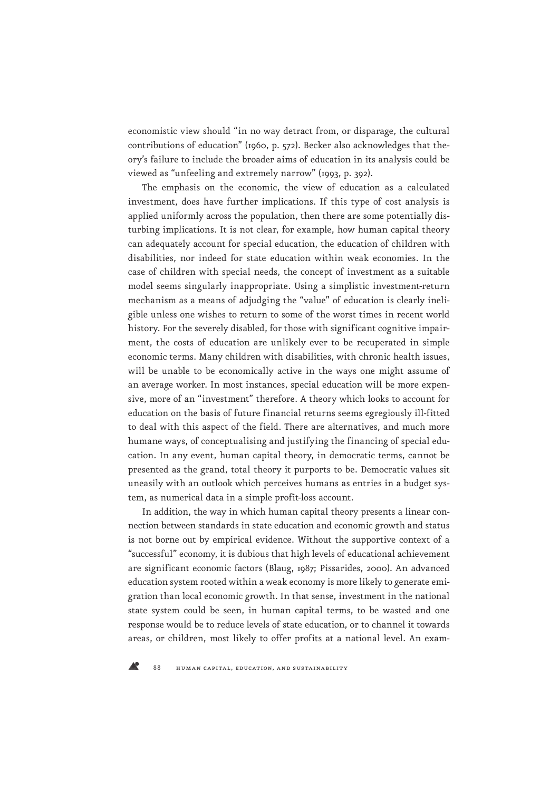economistic view should "in no way detract from, or disparage, the cultural contributions of education" (1960, p. 572). Becker also acknowledges that theory's failure to include the broader aims of education in its analysis could be viewed as "unfeeling and extremely narrow" (1993, p. 392).

The emphasis on the economic, the view of education as a calculated investment, does have further implications. If this type of cost analysis is applied uniformly across the population, then there are some potentially disturbing implications. It is not clear, for example, how human capital theory can adequately account for special education, the education of children with disabilities, nor indeed for state education within weak economies. In the case of children with special needs, the concept of investment as a suitable model seems singularly inappropriate. Using a simplistic investment-return mechanism as a means of adjudging the "value" of education is clearly ineligible unless one wishes to return to some of the worst times in recent world history. For the severely disabled, for those with significant cognitive impairment, the costs of education are unlikely ever to be recuperated in simple economic terms. Many children with disabilities, with chronic health issues, will be unable to be economically active in the ways one might assume of an average worker. In most instances, special education will be more expensive, more of an "investment" therefore. A theory which looks to account for education on the basis of future financial returns seems egregiously ill-fitted to deal with this aspect of the field. There are alternatives, and much more humane ways, of conceptualising and justifying the financing of special education. In any event, human capital theory, in democratic terms, cannot be presented as the grand, total theory it purports to be. Democratic values sit uneasily with an outlook which perceives humans as entries in a budget system, as numerical data in a simple profit-loss account.

In addition, the way in which human capital theory presents a linear connection between standards in state education and economic growth and status is not borne out by empirical evidence. Without the supportive context of a "successful" economy, it is dubious that high levels of educational achievement are significant economic factors (Blaug, 1987; Pissarides, 2000). An advanced education system rooted within a weak economy is more likely to generate emigration than local economic growth. In that sense, investment in the national state system could be seen, in human capital terms, to be wasted and one response would be to reduce levels of state education, or to channel it towards areas, or children, most likely to offer profits at a national level. An exam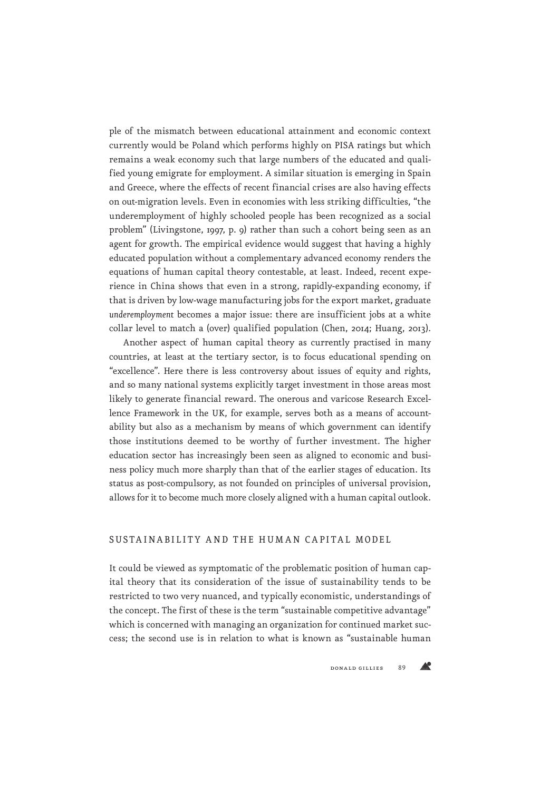ple of the mismatch between educational attainment and economic context currently would be Poland which performs highly on PISA ratings but which remains a weak economy such that large numbers of the educated and qualified young emigrate for employment. A similar situation is emerging in Spain and Greece, where the effects of recent financial crises are also having effects on out-migration levels. Even in economies with less striking difficulties, "the underemployment of highly schooled people has been recognized as a social problem" (Livingstone, 1997, p. 9) rather than such a cohort being seen as an agent for growth. The empirical evidence would suggest that having a highly educated population without a complementary advanced economy renders the equations of human capital theory contestable, at least. Indeed, recent experience in China shows that even in a strong, rapidly-expanding economy, if that is driven by low-wage manufacturing jobs for the export market, graduate *underemployment* becomes a major issue: there are insufficient jobs at a white collar level to match a (over) qualified population (Chen, 2014; Huang, 2013).

Another aspect of human capital theory as currently practised in many countries, at least at the tertiary sector, is to focus educational spending on "excellence". Here there is less controversy about issues of equity and rights, and so many national systems explicitly target investment in those areas most likely to generate financial reward. The onerous and varicose Research Excellence Framework in the UK, for example, serves both as a means of accountability but also as a mechanism by means of which government can identify those institutions deemed to be worthy of further investment. The higher education sector has increasingly been seen as aligned to economic and business policy much more sharply than that of the earlier stages of education. Its status as post-compulsory, as not founded on principles of universal provision, allows for it to become much more closely aligned with a human capital outlook.

# SUSTAINABILITY AND THE HUMAN CAPITAL MODEL

It could be viewed as symptomatic of the problematic position of human capital theory that its consideration of the issue of sustainability tends to be restricted to two very nuanced, and typically economistic, understandings of the concept. The first of these is the term "sustainable competitive advantage" which is concerned with managing an organization for continued market success; the second use is in relation to what is known as "sustainable human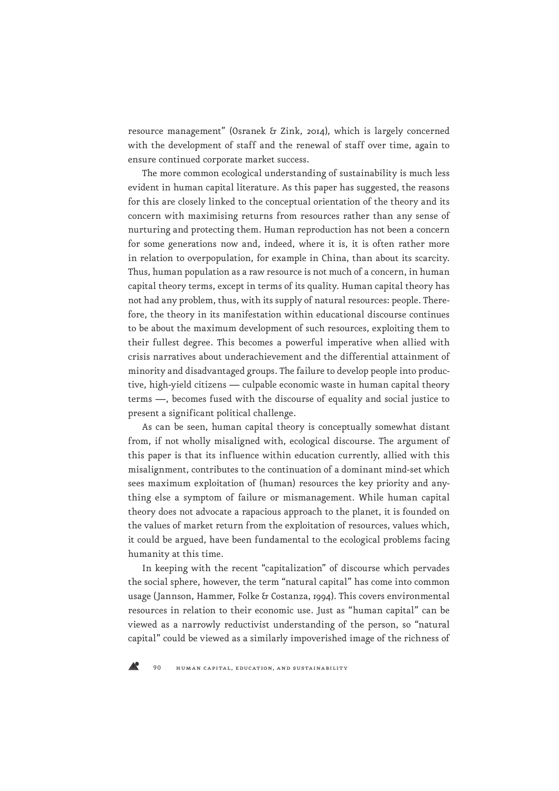resource management" (Osranek & Zink, 2014), which is largely concerned with the development of staff and the renewal of staff over time, again to ensure continued corporate market success.

The more common ecological understanding of sustainability is much less evident in human capital literature. As this paper has suggested, the reasons for this are closely linked to the conceptual orientation of the theory and its concern with maximising returns from resources rather than any sense of nurturing and protecting them. Human reproduction has not been a concern for some generations now and, indeed, where it is, it is often rather more in relation to overpopulation, for example in China, than about its scarcity. Thus, human population as a raw resource is not much of a concern, in human capital theory terms, except in terms of its quality. Human capital theory has not had any problem, thus, with its supply of natural resources: people. Therefore, the theory in its manifestation within educational discourse continues to be about the maximum development of such resources, exploiting them to their fullest degree. This becomes a powerful imperative when allied with crisis narratives about underachievement and the differential attainment of minority and disadvantaged groups. The failure to develop people into productive, high-yield citizens — culpable economic waste in human capital theory terms —, becomes fused with the discourse of equality and social justice to present a significant political challenge.

As can be seen, human capital theory is conceptually somewhat distant from, if not wholly misaligned with, ecological discourse. The argument of this paper is that its influence within education currently, allied with this misalignment, contributes to the continuation of a dominant mind-set which sees maximum exploitation of (human) resources the key priority and anything else a symptom of failure or mismanagement. While human capital theory does not advocate a rapacious approach to the planet, it is founded on the values of market return from the exploitation of resources, values which, it could be argued, have been fundamental to the ecological problems facing humanity at this time.

In keeping with the recent "capitalization" of discourse which pervades the social sphere, however, the term "natural capital" has come into common usage (Jannson, Hammer, Folke & Costanza, 1994). This covers environmental resources in relation to their economic use. Just as "human capital" can be viewed as a narrowly reductivist understanding of the person, so "natural capital" could be viewed as a similarly impoverished image of the richness of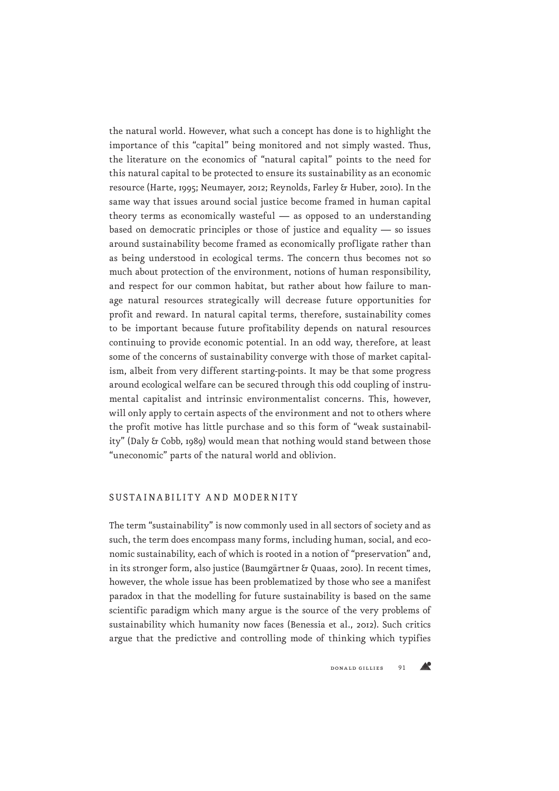the natural world. However, what such a concept has done is to highlight the importance of this "capital" being monitored and not simply wasted. Thus, the literature on the economics of "natural capital" points to the need for this natural capital to be protected to ensure its sustainability as an economic resource (Harte, 1995; Neumayer, 2012; Reynolds, Farley & Huber, 2010). In the same way that issues around social justice become framed in human capital theory terms as economically wasteful — as opposed to an understanding based on democratic principles or those of justice and equality — so issues around sustainability become framed as economically profligate rather than as being understood in ecological terms. The concern thus becomes not so much about protection of the environment, notions of human responsibility, and respect for our common habitat, but rather about how failure to manage natural resources strategically will decrease future opportunities for profit and reward. In natural capital terms, therefore, sustainability comes to be important because future profitability depends on natural resources continuing to provide economic potential. In an odd way, therefore, at least some of the concerns of sustainability converge with those of market capitalism, albeit from very different starting-points. It may be that some progress around ecological welfare can be secured through this odd coupling of instrumental capitalist and intrinsic environmentalist concerns. This, however, will only apply to certain aspects of the environment and not to others where the profit motive has little purchase and so this form of "weak sustainability" (Daly & Cobb, 1989) would mean that nothing would stand between those "uneconomic" parts of the natural world and oblivion.

### SUSTAINABILITY AND MODERNITY

The term "sustainability" is now commonly used in all sectors of society and as such, the term does encompass many forms, including human, social, and economic sustainability, each of which is rooted in a notion of "preservation" and, in its stronger form, also justice (Baumgärtner & Quaas, 2010). In recent times, however, the whole issue has been problematized by those who see a manifest paradox in that the modelling for future sustainability is based on the same scientific paradigm which many argue is the source of the very problems of sustainability which humanity now faces (Benessia et al., 2012). Such critics argue that the predictive and controlling mode of thinking which typifies

 $\triangle^{\circ}$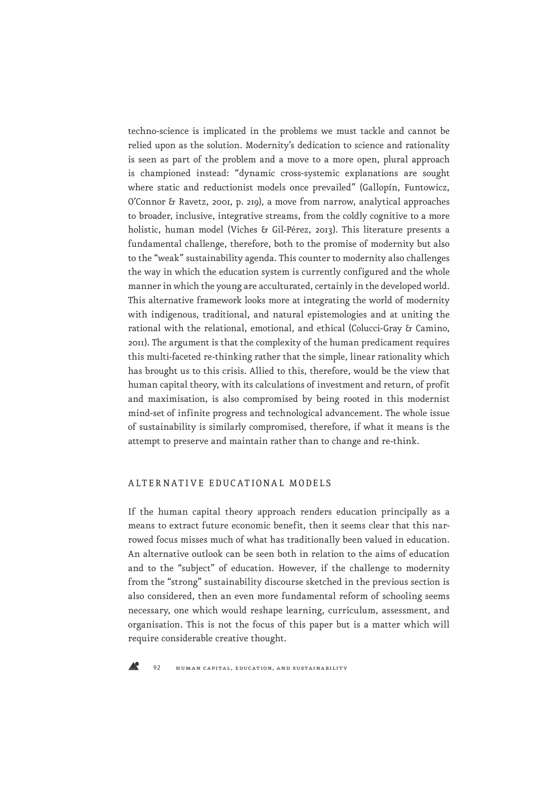techno-science is implicated in the problems we must tackle and cannot be relied upon as the solution. Modernity's dedication to science and rationality is seen as part of the problem and a move to a more open, plural approach is championed instead: "dynamic cross-systemic explanations are sought where static and reductionist models once prevailed" (Gallopín, Funtowicz, O'Connor & Ravetz, 2001, p. 219), a move from narrow, analytical approaches to broader, inclusive, integrative streams, from the coldly cognitive to a more holistic, human model (Viches & Gil-Pérez, 2013). This literature presents a fundamental challenge, therefore, both to the promise of modernity but also to the "weak" sustainability agenda. This counter to modernity also challenges the way in which the education system is currently configured and the whole manner in which the young are acculturated, certainly in the developed world. This alternative framework looks more at integrating the world of modernity with indigenous, traditional, and natural epistemologies and at uniting the rational with the relational, emotional, and ethical (Colucci-Gray & Camino, 2011). The argument is that the complexity of the human predicament requires this multi-faceted re-thinking rather that the simple, linear rationality which has brought us to this crisis. Allied to this, therefore, would be the view that human capital theory, with its calculations of investment and return, of profit and maximisation, is also compromised by being rooted in this modernist mind-set of infinite progress and technological advancement. The whole issue of sustainability is similarly compromised, therefore, if what it means is the attempt to preserve and maintain rather than to change and re-think.

## ALTERNATIVE EDUCATIONAL MODELS

If the human capital theory approach renders education principally as a means to extract future economic benefit, then it seems clear that this narrowed focus misses much of what has traditionally been valued in education. An alternative outlook can be seen both in relation to the aims of education and to the "subject" of education. However, if the challenge to modernity from the "strong" sustainability discourse sketched in the previous section is also considered, then an even more fundamental reform of schooling seems necessary, one which would reshape learning, curriculum, assessment, and organisation. This is not the focus of this paper but is a matter which will require considerable creative thought.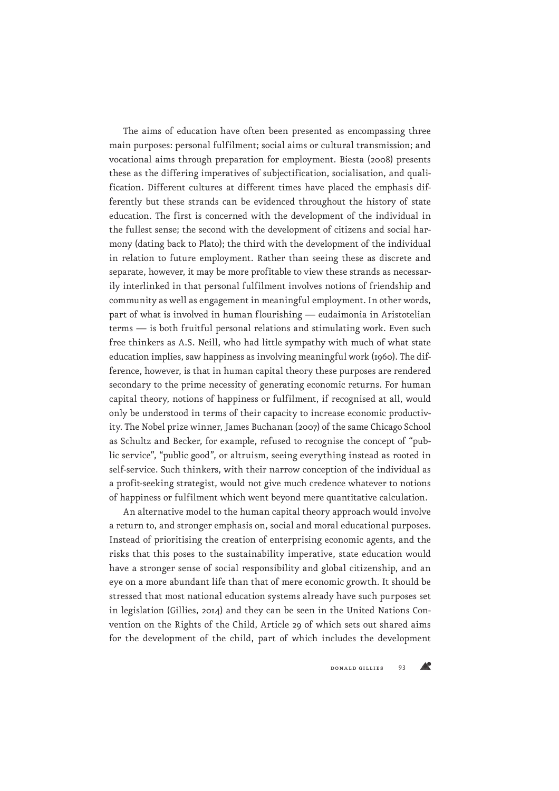The aims of education have often been presented as encompassing three main purposes: personal fulfilment; social aims or cultural transmission; and vocational aims through preparation for employment. Biesta (2008) presents these as the differing imperatives of subjectification, socialisation, and qualification. Different cultures at different times have placed the emphasis differently but these strands can be evidenced throughout the history of state education. The first is concerned with the development of the individual in the fullest sense; the second with the development of citizens and social harmony (dating back to Plato); the third with the development of the individual in relation to future employment. Rather than seeing these as discrete and separate, however, it may be more profitable to view these strands as necessarily interlinked in that personal fulfilment involves notions of friendship and community as well as engagement in meaningful employment. In other words, part of what is involved in human flourishing — eudaimonia in Aristotelian terms — is both fruitful personal relations and stimulating work. Even such free thinkers as A.S. Neill, who had little sympathy with much of what state education implies, saw happiness as involving meaningful work (1960). The difference, however, is that in human capital theory these purposes are rendered secondary to the prime necessity of generating economic returns. For human capital theory, notions of happiness or fulfilment, if recognised at all, would only be understood in terms of their capacity to increase economic productivity. The Nobel prize winner, James Buchanan (2007) of the same Chicago School as Schultz and Becker, for example, refused to recognise the concept of "public service", "public good", or altruism, seeing everything instead as rooted in self-service. Such thinkers, with their narrow conception of the individual as a profit-seeking strategist, would not give much credence whatever to notions of happiness or fulfilment which went beyond mere quantitative calculation.

An alternative model to the human capital theory approach would involve a return to, and stronger emphasis on, social and moral educational purposes. Instead of prioritising the creation of enterprising economic agents, and the risks that this poses to the sustainability imperative, state education would have a stronger sense of social responsibility and global citizenship, and an eye on a more abundant life than that of mere economic growth. It should be stressed that most national education systems already have such purposes set in legislation (Gillies, 2014) and they can be seen in the United Nations Convention on the Rights of the Child, Article 29 of which sets out shared aims for the development of the child, part of which includes the development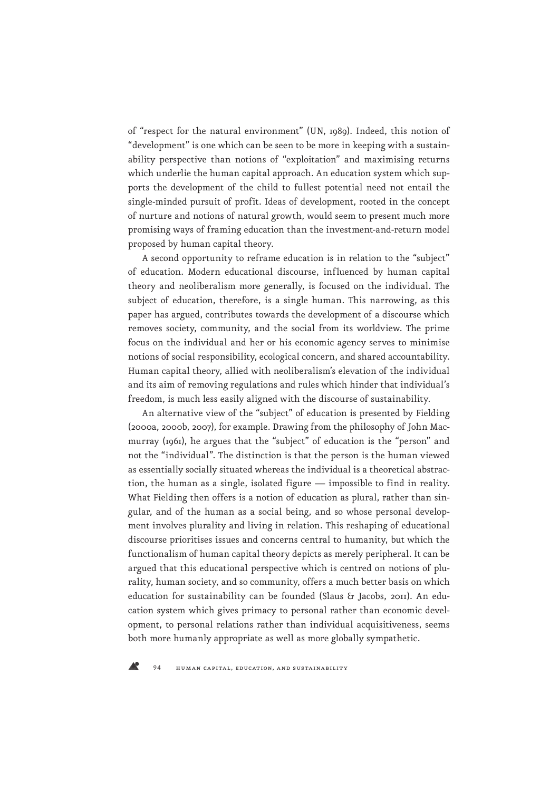of "respect for the natural environment" (UN, 1989). Indeed, this notion of "development" is one which can be seen to be more in keeping with a sustainability perspective than notions of "exploitation" and maximising returns which underlie the human capital approach. An education system which supports the development of the child to fullest potential need not entail the single-minded pursuit of profit. Ideas of development, rooted in the concept of nurture and notions of natural growth, would seem to present much more promising ways of framing education than the investment-and-return model proposed by human capital theory.

A second opportunity to reframe education is in relation to the "subject" of education. Modern educational discourse, influenced by human capital theory and neoliberalism more generally, is focused on the individual. The subject of education, therefore, is a single human. This narrowing, as this paper has argued, contributes towards the development of a discourse which removes society, community, and the social from its worldview. The prime focus on the individual and her or his economic agency serves to minimise notions of social responsibility, ecological concern, and shared accountability. Human capital theory, allied with neoliberalism's elevation of the individual and its aim of removing regulations and rules which hinder that individual's freedom, is much less easily aligned with the discourse of sustainability.

An alternative view of the "subject" of education is presented by Fielding (2000a, 2000b, 2007), for example. Drawing from the philosophy of John Macmurray (1961), he argues that the "subject" of education is the "person" and not the "individual". The distinction is that the person is the human viewed as essentially socially situated whereas the individual is a theoretical abstraction, the human as a single, isolated figure — impossible to find in reality. What Fielding then offers is a notion of education as plural, rather than singular, and of the human as a social being, and so whose personal development involves plurality and living in relation. This reshaping of educational discourse prioritises issues and concerns central to humanity, but which the functionalism of human capital theory depicts as merely peripheral. It can be argued that this educational perspective which is centred on notions of plurality, human society, and so community, offers a much better basis on which education for sustainability can be founded (Slaus & Jacobs, 2011). An education system which gives primacy to personal rather than economic development, to personal relations rather than individual acquisitiveness, seems both more humanly appropriate as well as more globally sympathetic.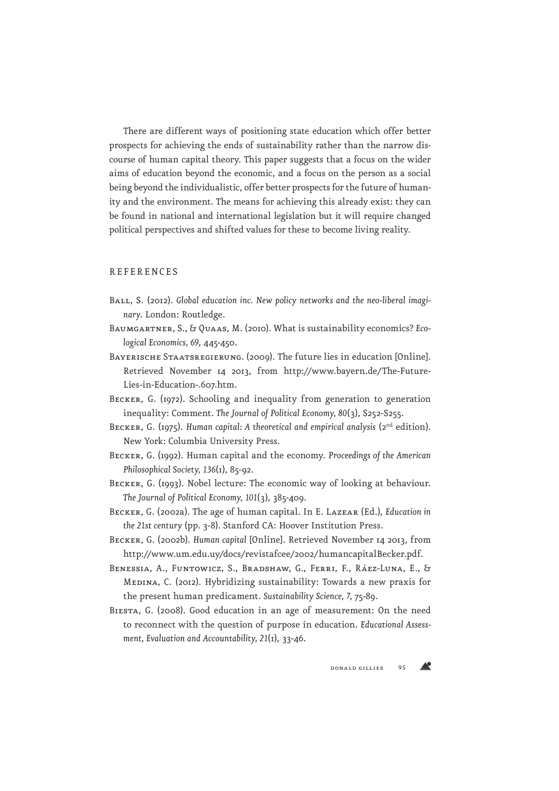There are different ways of positioning state education which offer better prospects for achieving the ends of sustainability rather than the narrow discourse of human capital theory. This paper suggests that a focus on the wider aims of education beyond the economic, and a focus on the person as a social being beyond the individualistic, offer better prospects for the future of humanity and the environment. The means for achieving this already exist: they can be found in national and international legislation but it will require changed political perspectives and shifted values for these to become living reality.

#### **REFERENCES**

- BALL, S. (2012). Global education inc. New policy networks and the neo-liberal imagi*nary*. London: Routledge.
- Baumgartner, S., & Quaas, M. (2010). What is sustainability economics? *Ecological Economics, 69*, 445-450.
- BAYERISCHE STAATSREGIERUNG. (2009). The future lies in education [Online]. Retrieved November 14 2013, from http://www.bayern.de/The-Future-Lies-in-Education-.607.htm.
- BECKER, G. (1972). Schooling and inequality from generation to generation inequality: Comment. *The Journal of Political Economy, 80*(3), S252-S255.
- BECKER, G. (1975). *Human capital: A theoretical and empirical analysis* (2<sup>nd</sup> edition). New York: Columbia University Press.
- Becker, G. (1992). Human capital and the economy. *Proceedings of the American Philosophical Society, 136*(1), 85-92.
- BECKER, G. (1993). Nobel lecture: The economic way of looking at behaviour. *The Journal of Political Economy, 101*(3), 385-409.
- Becker, G. (2002a). The age of human capital. In E. Lazear (Ed.), *Education in the 21st century* (pp. 3-8). Stanford CA: Hoover Institution Press.
- Becker, G. (2002b). *Human capital* [Online]. Retrieved November 14 2013, from http://www.um.edu.uy/docs/revistafcee/2002/humancapitalBecker.pdf.
- Benessia, A., Funtowicz, S., Bradshaw, G., Ferri, F., Ráez-Luna, E., & Medina, C. (2012). Hybridizing sustainability: Towards a new praxis for the present human predicament. *Sustainability Science, 7*, 75-89.
- Biesta, G. (2008). Good education in an age of measurement: On the need to reconnect with the question of purpose in education. *Educational Assessment, Evaluation and Accountability, 21*(1), 33-46.

Æ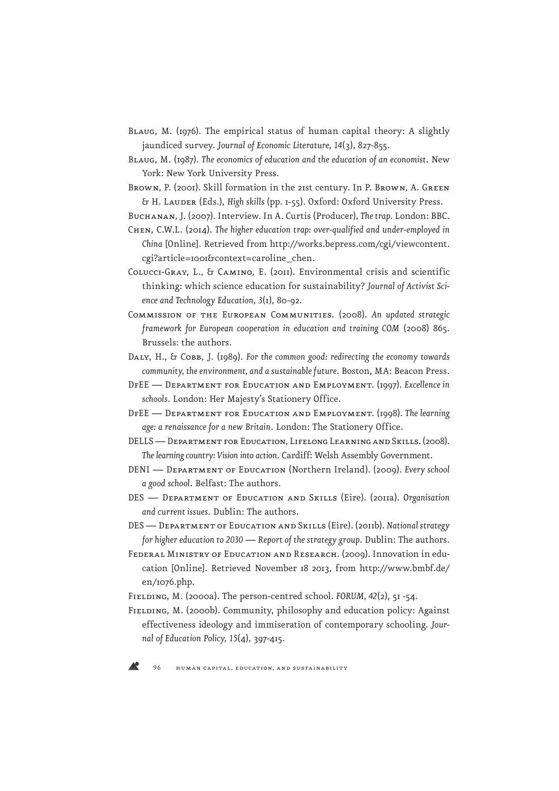- Blaug, M. (1976). The empirical status of human capital theory: A slightly jaundiced survey. *Journal of Economic Literature, 14*(3), 827-855.
- Blaug, M. (1987). *The economics of education and the education of an economist*. New York: New York University Press.
- Brown, P. (2001). Skill formation in the 21st century. In P. Brown, A. Green & H. Lauder (Eds.), *High skills* (pp. 1-55). Oxford: Oxford University Press.
- Buchanan, J. (2007). Interview. In A. Curtis (Producer), *The trap*. London: BBC.
- Chen, C.W.L. (2014). *The higher education trap: over-qualified and under-employed in China* [Online]. Retrieved from http://works.bepress.com/cgi/viewcontent. cgi?article=1001&context=caroline\_chen.
- Colucci-Gray, L., & Camino, E. (2011). Environmental crisis and scientific thinking: which science education for sustainability? *Journal of Activist Science and Technology Education, 3*(1), 80-92.
- Commission of the European Communities. (2008). *An updated strategic framework for European cooperation in education and training COM* (2008) 865. Brussels: the authors.
- Daly, H., & Cobb, J. (1989). *For the common good: redirecting the economy towards community, the environment, and a sustainable future*. Boston, MA: Beacon Press.
- DfEE Department for Education and Employment. (1997). *Excellence in schools*. London: Her Majesty's Stationery Office.
- DfEE Department for Education and Employment. (1998). *The learning age: a renaissance for a new Britain*. London: The Stationery Office.
- DELLS Department for Education, Lifelong Learning and Skills. (2008). *The learning country: Vision into action*. Cardiff: Welsh Assembly Government.
- DENI Department of Education (Northern Ireland). (2009). *Every school a good school*. Belfast: The authors.
- DES Department of Education and Skills (Eire). (2011a). *Organisation and current issues*. Dublin: The authors.
- DES Department of Education and Skills (Eire). (2011b). *National strategy for higher education to 2030 — Report of the strategy group*. Dublin: The authors.
- FEDERAL MINISTRY OF EDUCATION AND RESEARCH. (2009). Innovation in education [Online]. Retrieved November 18 2013, from http://www.bmbf.de/ en/1076.php.
- Fielding, M. (2000a). The person-centred school. *FORUM, 42*(2), 51 -54.
- FIELDING, M. (2000b). Community, philosophy and education policy: Against effectiveness ideology and immiseration of contemporary schooling. *Journal of Education Policy, 15*(4), 397-415.

96 human capital, education, and sustainability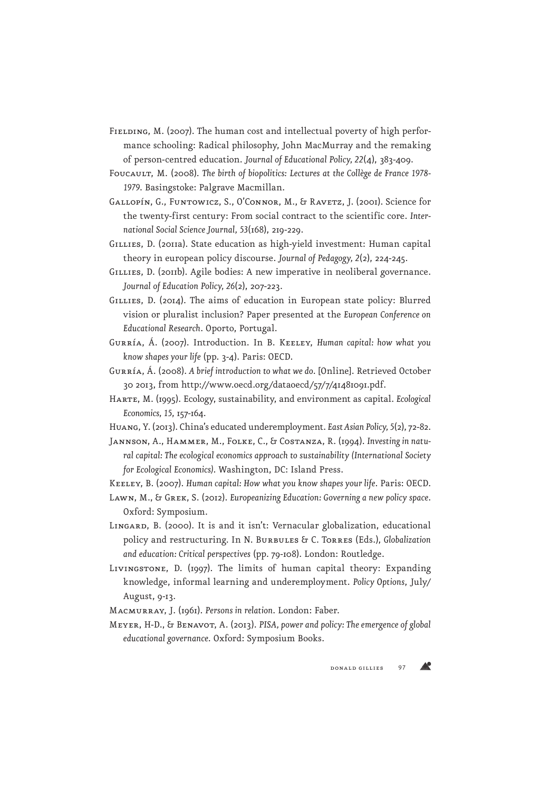- FIELDING, M. (2007). The human cost and intellectual poverty of high performance schooling: Radical philosophy, John MacMurray and the remaking of person-centred education. *Journal of Educational Policy, 22*(4), 383-409.
- Foucault, M. (2008). *The birth of biopolitics: Lectures at the Collège de France 1978- 1979*. Basingstoke: Palgrave Macmillan.
- Gallopín, G., Funtowicz, S., O'Connor, M., & Ravetz, J. (2001). Science for the twenty-first century: From social contract to the scientific core. *International Social Science Journal, 53*(168), 219-229.
- GILLIES, D. (2011a). State education as high-yield investment: Human capital theory in european policy discourse. *Journal of Pedagogy, 2*(2), 224-245.
- GILLIES, D. (2011b). Agile bodies: A new imperative in neoliberal governance. *Journal of Education Policy, 26*(2), 207-223.
- GILLIES, D. (2014). The aims of education in European state policy: Blurred vision or pluralist inclusion? Paper presented at the *European Conference on Educational Research*. Oporto, Portugal.
- Gurría, Á. (2007). Introduction. In B. Keeley, *Human capital: how what you know shapes your life* (pp. 3-4). Paris: OECD.
- Gurría, Á. (2008). *A brief introduction to what we do*. [Online]. Retrieved October 30 2013, from http://www.oecd.org/dataoecd/57/7/41481091.pdf.
- Harte, M. (1995). Ecology, sustainability, and environment as capital. *Ecological Economics, 15*, 157-164.
- Huang, Y. (2013). China's educated underemployment. *East Asian Policy, 5*(2), 72-82.
- Jannson, A., Hammer, M., Folke, C., & Costanza, R. (1994). *Investing in natural capital: The ecological economics approach to sustainability (International Society for Ecological Economics)*. Washington, DC: Island Press.
- Keeley, B. (2007). *Human capital: How what you know shapes your life*. Paris: OECD.
- Lawn, M., & Grek, S. (2012). *Europeanizing Education: Governing a new policy space*. Oxford: Symposium.
- LINGARD, B. (2000). It is and it isn't: Vernacular globalization, educational policy and restructuring. In N. Burbules & C. Torres (Eds.), *Globalization and education: Critical perspectives* (pp. 79-108). London: Routledge.
- Livingstone, D. (1997). The limits of human capital theory: Expanding knowledge, informal learning and underemployment. *Policy Options*, July/ August, 9-13.
- Macmurray, J. (1961). *Persons in relation*. London: Faber.
- Meyer, H-D., & Benavot, A. (2013). *PISA, power and policy: The emergence of global educational governance*. Oxford: Symposium Books.

Æ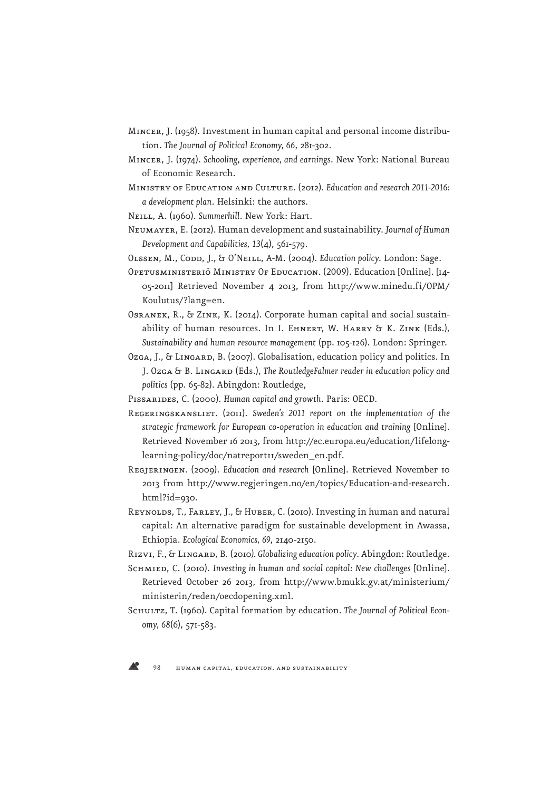- Mincer, J. (1958). Investment in human capital and personal income distribution. *The Journal of Political Economy, 66*, 281-302.
- Mincer, J. (1974). *Schooling, experience, and earnings*. New York: National Bureau of Economic Research.
- Ministry of Education and Culture. (2012). *Education and research 2011-2016: a development plan*. Helsinki: the authors.
- Neill, A. (1960). *Summerhill*. New York: Hart.
- Neumayer, E. (2012). Human development and sustainability. *Journal of Human Development and Capabilities, 13*(4), 561-579.
- OLSSEN, M., CODD, J., & O'NEILL, A-M. (2004). *Education policy*. London: Sage.
- OPETUSMINISTERIÖ MINISTRY OF EDUCATION. (2009). Education [Online]. [14-05-2011] Retrieved November 4 2013, from http://www.minedu.fi/OPM/ Koulutus/?lang=en.
- Osranek, R., & Zink, K. (2014). Corporate human capital and social sustainability of human resources. In I. EHNERT, W. HARRY & K. ZINK (Eds.), *Sustainability and human resource management* (pp. 105-126). London: Springer.
- Ozga, J., & LINGARD, B. (2007). Globalisation, education policy and politics. In J. Ozga & B. Lingard (Eds.), *The RoutledgeFalmer reader in education policy and politics* (pp. 65-82). Abingdon: Routledge,
- Pissarides, C. (2000). *Human capital and growth*. Paris: OECD.
- Regeringskansliet. (2011). *Sweden's 2011 report on the implementation of the strategic framework for European co-operation in education and training* [Online]. Retrieved November 16 2013, from http://ec.europa.eu/education/lifelonglearning-policy/doc/natreportII/sweden\_en.pdf.
- Regjeringen. (2009). *Education and research* [Online]. Retrieved November 10 2013 from http://www.regjeringen.no/en/topics/Education-and-research. html?id=930.
- Reynolds, T., Farley, J., & Huber, C. (2010). Investing in human and natural capital: An alternative paradigm for sustainable development in Awassa, Ethiopia. *Ecological Economics, 69*, 2140-2150.
- Rizvi, F., & Lingard, B. (2010*). Globalizing education policy*. Abingdon: Routledge.
- SCHMIED, C. (2010). *Investing in human and social capital: New challenges* [Online]. Retrieved October 26 2013, from http://www.bmukk.gv.at/ministerium/ ministerin/reden/oecdopening.xml.
- SCHULTZ, T. (1960). Capital formation by education. The Journal of Political Econ*omy, 68*(6), 571-583.

А.